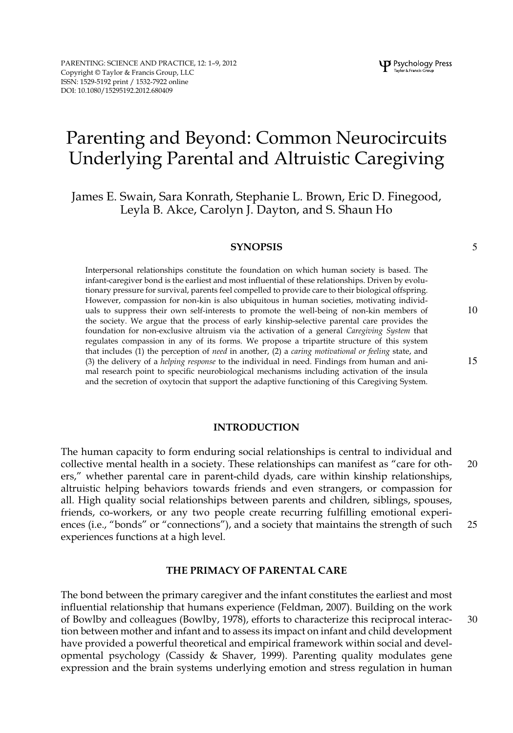# Parenting and Beyond: Common Neurocircuits Underlying Parental and Altruistic Caregiving

James E. Swain, Sara Konrath, Stephanie L. Brown, Eric D. Finegood, Leyla B. Akce, Carolyn J. Dayton, and S. Shaun Ho

## **SYNOPSIS** 5

Interpersonal relationships constitute the foundation on which human society is based. The infant-caregiver bond is the earliest and most influential of these relationships. Driven by evolutionary pressure for survival, parents feel compelled to provide care to their biological offspring. However, compassion for non-kin is also ubiquitous in human societies, motivating individuals to suppress their own self-interests to promote the well-being of non-kin members of 10 the society. We argue that the process of early kinship-selective parental care provides the foundation for non-exclusive altruism via the activation of a general *Caregiving System* that regulates compassion in any of its forms. We propose a tripartite structure of this system that includes (1) the perception of *need* in another, (2) a *caring motivational or feeling* state, and (3) the delivery of a *helping response* to the individual in need. Findings from human and ani- 15 mal research point to specific neurobiological mechanisms including activation of the insula and the secretion of oxytocin that support the adaptive functioning of this Caregiving System.

## **INTRODUCTION**

The human capacity to form enduring social relationships is central to individual and collective mental health in a society. These relationships can manifest as "care for oth- 20 ers," whether parental care in parent-child dyads, care within kinship relationships, altruistic helping behaviors towards friends and even strangers, or compassion for all. High quality social relationships between parents and children, siblings, spouses, friends, co-workers, or any two people create recurring fulfilling emotional experiences (i.e., "bonds" or "connections"), and a society that maintains the strength of such 25 experiences functions at a high level.

#### **THE PRIMACY OF PARENTAL CARE**

The bond between the primary caregiver and the infant constitutes the earliest and most influential relationship that humans experience (Feldman, 2007). Building on the work of Bowlby and colleagues (Bowlby, 1978), efforts to characterize this reciprocal interac- 30 tion between mother and infant and to assess its impact on infant and child development have provided a powerful theoretical and empirical framework within social and developmental psychology (Cassidy & Shaver, 1999). Parenting quality modulates gene expression and the brain systems underlying emotion and stress regulation in human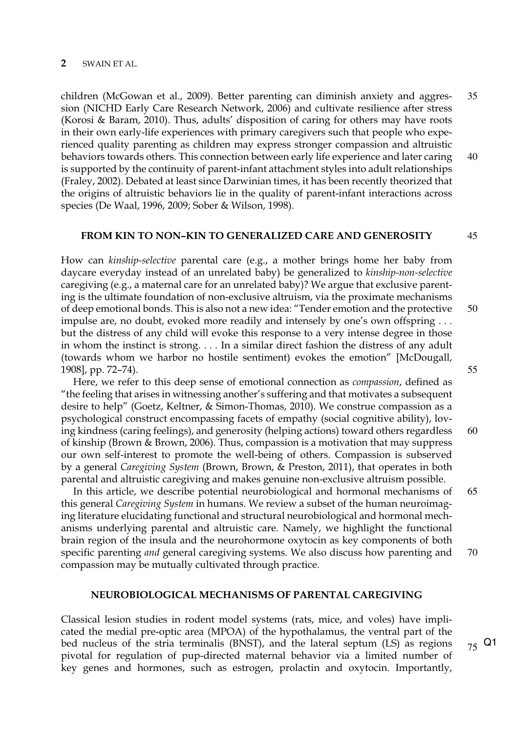children (McGowan et al., 2009). Better parenting can diminish anxiety and aggres- 35 sion (NICHD Early Care Research Network, 2006) and cultivate resilience after stress (Korosi & Baram, 2010). Thus, adults' disposition of caring for others may have roots in their own early-life experiences with primary caregivers such that people who experienced quality parenting as children may express stronger compassion and altruistic behaviors towards others. This connection between early life experience and later caring 40 is supported by the continuity of parent-infant attachment styles into adult relationships (Fraley, 2002). Debated at least since Darwinian times, it has been recently theorized that the origins of altruistic behaviors lie in the quality of parent-infant interactions across species (De Waal, 1996, 2009; Sober & Wilson, 1998).

## **FROM KIN TO NON–KIN TO GENERALIZED CARE AND GENEROSITY** 45

How can *kinship-selective* parental care (e.g., a mother brings home her baby from daycare everyday instead of an unrelated baby) be generalized to *kinship-non-selective* caregiving (e.g., a maternal care for an unrelated baby)? We argue that exclusive parenting is the ultimate foundation of non-exclusive altruism, via the proximate mechanisms of deep emotional bonds. This is also not a new idea: "Tender emotion and the protective 50 impulse are, no doubt, evoked more readily and intensely by one's own offspring *...* but the distress of any child will evoke this response to a very intense degree in those in whom the instinct is strong. *...* In a similar direct fashion the distress of any adult (towards whom we harbor no hostile sentiment) evokes the emotion" [McDougall, 1908], pp. 72–74). 55

Here, we refer to this deep sense of emotional connection as *compassion*, defined as "the feeling that arises in witnessing another's suffering and that motivates a subsequent desire to help" (Goetz, Keltner, & Simon-Thomas, 2010). We construe compassion as a psychological construct encompassing facets of empathy (social cognitive ability), loving kindness (caring feelings), and generosity (helping actions) toward others regardless 60 of kinship (Brown & Brown, 2006). Thus, compassion is a motivation that may suppress our own self-interest to promote the well-being of others. Compassion is subserved by a general *Caregiving System* (Brown, Brown, & Preston, 2011), that operates in both parental and altruistic caregiving and makes genuine non-exclusive altruism possible.

In this article, we describe potential neurobiological and hormonal mechanisms of 65 this general *Caregiving System* in humans. We review a subset of the human neuroimaging literature elucidating functional and structural neurobiological and hormonal mechanisms underlying parental and altruistic care. Namely, we highlight the functional brain region of the insula and the neurohormone oxytocin as key components of both specific parenting *and* general caregiving systems. We also discuss how parenting and 70 compassion may be mutually cultivated through practice.

## **NEUROBIOLOGICAL MECHANISMS OF PARENTAL CAREGIVING**

Classical lesion studies in rodent model systems (rats, mice, and voles) have implicated the medial pre-optic area (MPOA) of the hypothalamus, the ventral part of the bed nucleus of the stria terminalis (BNST), and the lateral septum (LS) as regions  $75$  Q1 pivotal for regulation of pup-directed maternal behavior via a limited number of key genes and hormones, such as estrogen, prolactin and oxytocin. Importantly,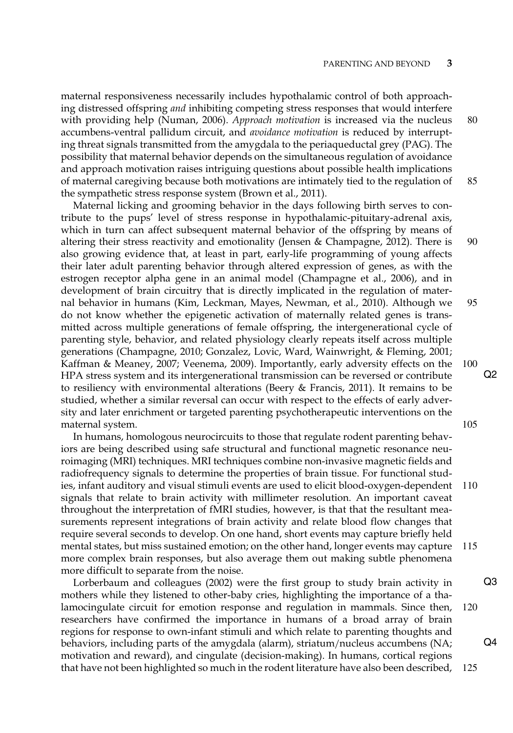maternal responsiveness necessarily includes hypothalamic control of both approaching distressed offspring *and* inhibiting competing stress responses that would interfere with providing help (Numan, 2006). *Approach motivation* is increased via the nucleus 80 accumbens-ventral pallidum circuit, and *avoidance motivation* is reduced by interrupting threat signals transmitted from the amygdala to the periaqueductal grey (PAG). The possibility that maternal behavior depends on the simultaneous regulation of avoidance and approach motivation raises intriguing questions about possible health implications of maternal caregiving because both motivations are intimately tied to the regulation of 85 the sympathetic stress response system (Brown et al., 2011).

Maternal licking and grooming behavior in the days following birth serves to contribute to the pups' level of stress response in hypothalamic-pituitary-adrenal axis, which in turn can affect subsequent maternal behavior of the offspring by means of altering their stress reactivity and emotionality (Jensen & Champagne, 2012). There is 90 also growing evidence that, at least in part, early-life programming of young affects their later adult parenting behavior through altered expression of genes, as with the estrogen receptor alpha gene in an animal model (Champagne et al., 2006), and in development of brain circuitry that is directly implicated in the regulation of maternal behavior in humans (Kim, Leckman, Mayes, Newman, et al., 2010). Although we 95 do not know whether the epigenetic activation of maternally related genes is transmitted across multiple generations of female offspring, the intergenerational cycle of parenting style, behavior, and related physiology clearly repeats itself across multiple generations (Champagne, 2010; Gonzalez, Lovic, Ward, Wainwright, & Fleming, 2001; Kaffman & Meaney, 2007; Veenema, 2009). Importantly, early adversity effects on the 100 HPA stress system and its intergenerational transmission can be reversed or contribute Q2 to resiliency with environmental alterations (Beery & Francis, 2011). It remains to be studied, whether a similar reversal can occur with respect to the effects of early adversity and later enrichment or targeted parenting psychotherapeutic interventions on the maternal system. 105

In humans, homologous neurocircuits to those that regulate rodent parenting behaviors are being described using safe structural and functional magnetic resonance neuroimaging (MRI) techniques. MRI techniques combine non-invasive magnetic fields and radiofrequency signals to determine the properties of brain tissue. For functional studies, infant auditory and visual stimuli events are used to elicit blood-oxygen-dependent 110 signals that relate to brain activity with millimeter resolution. An important caveat throughout the interpretation of fMRI studies, however, is that that the resultant measurements represent integrations of brain activity and relate blood flow changes that require several seconds to develop. On one hand, short events may capture briefly held mental states, but miss sustained emotion; on the other hand, longer events may capture 115 more complex brain responses, but also average them out making subtle phenomena more difficult to separate from the noise.

Lorberbaum and colleagues (2002) were the first group to study brain activity in Q3 mothers while they listened to other-baby cries, highlighting the importance of a thalamocingulate circuit for emotion response and regulation in mammals. Since then, 120 researchers have confirmed the importance in humans of a broad array of brain regions for response to own-infant stimuli and which relate to parenting thoughts and behaviors, including parts of the amygdala (alarm), striatum*/*nucleus accumbens (NA; Q4 motivation and reward), and cingulate (decision-making). In humans, cortical regions that have not been highlighted so much in the rodent literature have also been described, 125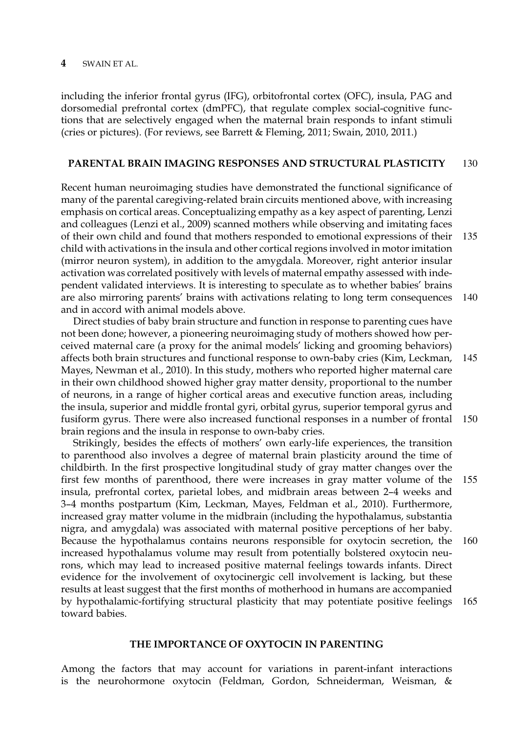### **4** SWAIN ET AL.

including the inferior frontal gyrus (IFG), orbitofrontal cortex (OFC), insula, PAG and dorsomedial prefrontal cortex (dmPFC), that regulate complex social-cognitive functions that are selectively engaged when the maternal brain responds to infant stimuli (cries or pictures). (For reviews, see Barrett & Fleming, 2011; Swain, 2010, 2011.)

## **PARENTAL BRAIN IMAGING RESPONSES AND STRUCTURAL PLASTICITY** 130

Recent human neuroimaging studies have demonstrated the functional significance of many of the parental caregiving-related brain circuits mentioned above, with increasing emphasis on cortical areas. Conceptualizing empathy as a key aspect of parenting, Lenzi and colleagues (Lenzi et al., 2009) scanned mothers while observing and imitating faces of their own child and found that mothers responded to emotional expressions of their 135 child with activations in the insula and other cortical regions involved in motor imitation (mirror neuron system), in addition to the amygdala. Moreover, right anterior insular activation was correlated positively with levels of maternal empathy assessed with independent validated interviews. It is interesting to speculate as to whether babies' brains are also mirroring parents' brains with activations relating to long term consequences 140 and in accord with animal models above.

Direct studies of baby brain structure and function in response to parenting cues have not been done; however, a pioneering neuroimaging study of mothers showed how perceived maternal care (a proxy for the animal models' licking and grooming behaviors) affects both brain structures and functional response to own-baby cries (Kim, Leckman, 145 Mayes, Newman et al., 2010). In this study, mothers who reported higher maternal care in their own childhood showed higher gray matter density, proportional to the number of neurons, in a range of higher cortical areas and executive function areas, including the insula, superior and middle frontal gyri, orbital gyrus, superior temporal gyrus and fusiform gyrus. There were also increased functional responses in a number of frontal 150 brain regions and the insula in response to own-baby cries.

Strikingly, besides the effects of mothers' own early-life experiences, the transition to parenthood also involves a degree of maternal brain plasticity around the time of childbirth. In the first prospective longitudinal study of gray matter changes over the first few months of parenthood, there were increases in gray matter volume of the 155 insula, prefrontal cortex, parietal lobes, and midbrain areas between 2–4 weeks and 3–4 months postpartum (Kim, Leckman, Mayes, Feldman et al., 2010). Furthermore, increased gray matter volume in the midbrain (including the hypothalamus, substantia nigra, and amygdala) was associated with maternal positive perceptions of her baby. Because the hypothalamus contains neurons responsible for oxytocin secretion, the 160 increased hypothalamus volume may result from potentially bolstered oxytocin neurons, which may lead to increased positive maternal feelings towards infants. Direct evidence for the involvement of oxytocinergic cell involvement is lacking, but these results at least suggest that the first months of motherhood in humans are accompanied by hypothalamic-fortifying structural plasticity that may potentiate positive feelings 165 toward babies.

#### **THE IMPORTANCE OF OXYTOCIN IN PARENTING**

Among the factors that may account for variations in parent-infant interactions is the neurohormone oxytocin (Feldman, Gordon, Schneiderman, Weisman, &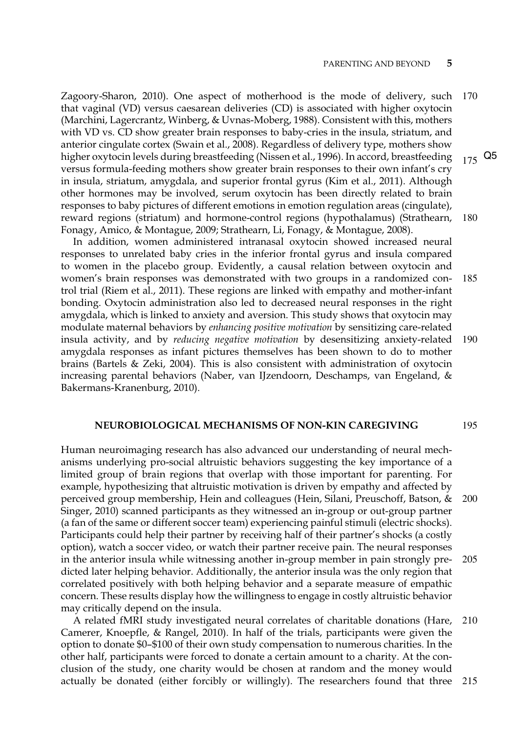Zagoory-Sharon, 2010). One aspect of motherhood is the mode of delivery, such 170 that vaginal (VD) versus caesarean deliveries (CD) is associated with higher oxytocin (Marchini, Lagercrantz, Winberg, & Uvnas-Moberg, 1988). Consistent with this, mothers with VD vs. CD show greater brain responses to baby-cries in the insula, striatum, and anterior cingulate cortex (Swain et al., 2008). Regardless of delivery type, mothers show higher oxytocin levels during breastfeeding (Nissen et al., 1996). In accord, breastfeeding  $175$  Q5 versus formula-feeding mothers show greater brain responses to their own infant's cry in insula, striatum, amygdala, and superior frontal gyrus (Kim et al., 2011). Although other hormones may be involved, serum oxytocin has been directly related to brain responses to baby pictures of different emotions in emotion regulation areas (cingulate), reward regions (striatum) and hormone-control regions (hypothalamus) (Strathearn, 180 Fonagy, Amico, & Montague, 2009; Strathearn, Li, Fonagy, & Montague, 2008).

In addition, women administered intranasal oxytocin showed increased neural responses to unrelated baby cries in the inferior frontal gyrus and insula compared to women in the placebo group. Evidently, a causal relation between oxytocin and women's brain responses was demonstrated with two groups in a randomized con- 185 trol trial (Riem et al., 2011). These regions are linked with empathy and mother-infant bonding. Oxytocin administration also led to decreased neural responses in the right amygdala, which is linked to anxiety and aversion. This study shows that oxytocin may modulate maternal behaviors by *enhancing positive motivation* by sensitizing care-related insula activity, and by *reducing negative motivation* by desensitizing anxiety-related 190 amygdala responses as infant pictures themselves has been shown to do to mother brains (Bartels & Zeki, 2004). This is also consistent with administration of oxytocin increasing parental behaviors (Naber, van IJzendoorn, Deschamps, van Engeland, & Bakermans-Kranenburg, 2010).

## **NEUROBIOLOGICAL MECHANISMS OF NON-KIN CAREGIVING** 195

Human neuroimaging research has also advanced our understanding of neural mechanisms underlying pro-social altruistic behaviors suggesting the key importance of a limited group of brain regions that overlap with those important for parenting. For example, hypothesizing that altruistic motivation is driven by empathy and affected by perceived group membership, Hein and colleagues (Hein, Silani, Preuschoff, Batson, & 200 Singer, 2010) scanned participants as they witnessed an in-group or out-group partner (a fan of the same or different soccer team) experiencing painful stimuli (electric shocks). Participants could help their partner by receiving half of their partner's shocks (a costly option), watch a soccer video, or watch their partner receive pain. The neural responses in the anterior insula while witnessing another in-group member in pain strongly pre- 205 dicted later helping behavior. Additionally, the anterior insula was the only region that correlated positively with both helping behavior and a separate measure of empathic concern. These results display how the willingness to engage in costly altruistic behavior may critically depend on the insula.

A related fMRI study investigated neural correlates of charitable donations (Hare, 210 Camerer, Knoepfle, & Rangel, 2010). In half of the trials, participants were given the option to donate \$0–\$100 of their own study compensation to numerous charities. In the other half, participants were forced to donate a certain amount to a charity. At the conclusion of the study, one charity would be chosen at random and the money would actually be donated (either forcibly or willingly). The researchers found that three 215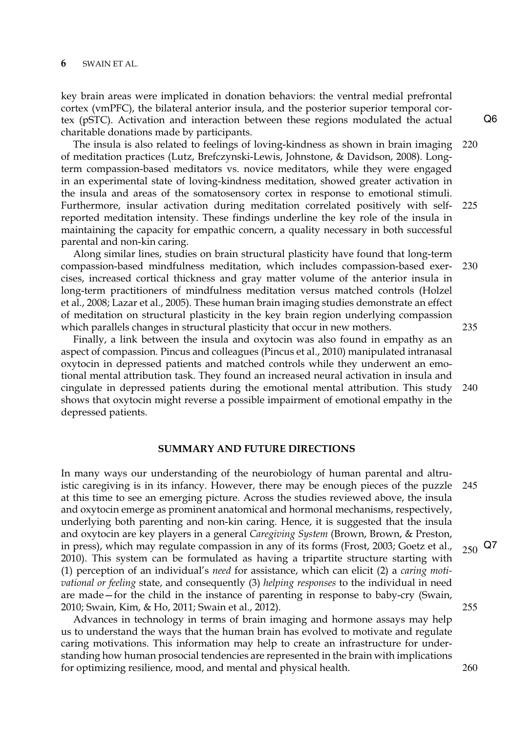key brain areas were implicated in donation behaviors: the ventral medial prefrontal cortex (vmPFC), the bilateral anterior insula, and the posterior superior temporal cortex (pSTC). Activation and interaction between these regions modulated the actual Q6 charitable donations made by participants.

The insula is also related to feelings of loving-kindness as shown in brain imaging 220 of meditation practices (Lutz, Brefczynski-Lewis, Johnstone, & Davidson, 2008). Longterm compassion-based meditators vs. novice meditators, while they were engaged in an experimental state of loving-kindness meditation, showed greater activation in the insula and areas of the somatosensory cortex in response to emotional stimuli. Furthermore, insular activation during meditation correlated positively with self- 225 reported meditation intensity. These findings underline the key role of the insula in maintaining the capacity for empathic concern, a quality necessary in both successful parental and non-kin caring.

Along similar lines, studies on brain structural plasticity have found that long-term compassion-based mindfulness meditation, which includes compassion-based exer- 230 cises, increased cortical thickness and gray matter volume of the anterior insula in long-term practitioners of mindfulness meditation versus matched controls (Holzel et al., 2008; Lazar et al., 2005). These human brain imaging studies demonstrate an effect of meditation on structural plasticity in the key brain region underlying compassion which parallels changes in structural plasticity that occur in new mothers. 235

Finally, a link between the insula and oxytocin was also found in empathy as an aspect of compassion. Pincus and colleagues (Pincus et al., 2010) manipulated intranasal oxytocin in depressed patients and matched controls while they underwent an emotional mental attribution task. They found an increased neural activation in insula and cingulate in depressed patients during the emotional mental attribution. This study 240 shows that oxytocin might reverse a possible impairment of emotional empathy in the depressed patients.

## **SUMMARY AND FUTURE DIRECTIONS**

In many ways our understanding of the neurobiology of human parental and altruistic caregiving is in its infancy. However, there may be enough pieces of the puzzle 245 at this time to see an emerging picture. Across the studies reviewed above, the insula and oxytocin emerge as prominent anatomical and hormonal mechanisms, respectively, underlying both parenting and non-kin caring. Hence, it is suggested that the insula and oxytocin are key players in a general *Caregiving System* (Brown, Brown, & Preston, in press), which may regulate compassion in any of its forms (Frost, 2003; Goetz et al.,  $_{250}$  Q7 2010). This system can be formulated as having a tripartite structure starting with (1) perception of an individual's *need* for assistance, which can elicit (2) a *caring motivational or feeling* state, and consequently (3) *helping responses* to the individual in need are made—for the child in the instance of parenting in response to baby-cry (Swain, 2010; Swain, Kim, & Ho, 2011; Swain et al., 2012). 255

Advances in technology in terms of brain imaging and hormone assays may help us to understand the ways that the human brain has evolved to motivate and regulate caring motivations. This information may help to create an infrastructure for understanding how human prosocial tendencies are represented in the brain with implications for optimizing resilience, mood, and mental and physical health. 260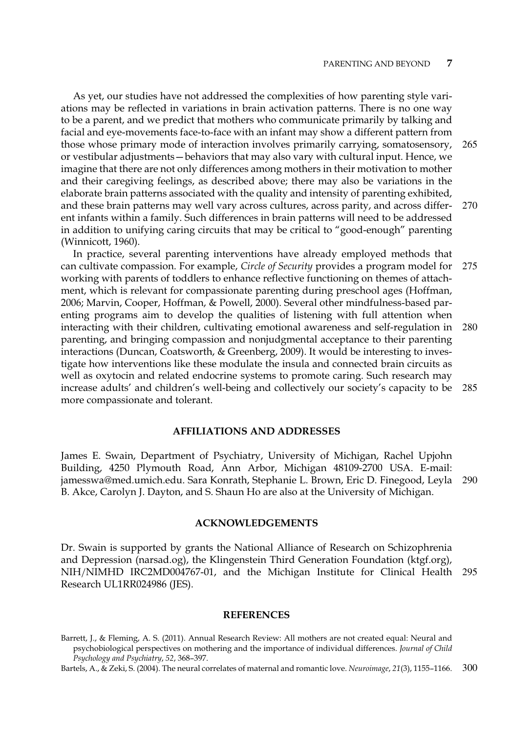As yet, our studies have not addressed the complexities of how parenting style variations may be reflected in variations in brain activation patterns. There is no one way to be a parent, and we predict that mothers who communicate primarily by talking and facial and eye-movements face-to-face with an infant may show a different pattern from those whose primary mode of interaction involves primarily carrying, somatosensory, 265 or vestibular adjustments—behaviors that may also vary with cultural input. Hence, we imagine that there are not only differences among mothers in their motivation to mother and their caregiving feelings, as described above; there may also be variations in the elaborate brain patterns associated with the quality and intensity of parenting exhibited, and these brain patterns may well vary across cultures, across parity, and across differ- 270 ent infants within a family. Such differences in brain patterns will need to be addressed in addition to unifying caring circuits that may be critical to "good-enough" parenting (Winnicott, 1960).

In practice, several parenting interventions have already employed methods that can cultivate compassion. For example, *Circle of Security* provides a program model for 275 working with parents of toddlers to enhance reflective functioning on themes of attachment, which is relevant for compassionate parenting during preschool ages (Hoffman, 2006; Marvin, Cooper, Hoffman, & Powell, 2000). Several other mindfulness-based parenting programs aim to develop the qualities of listening with full attention when interacting with their children, cultivating emotional awareness and self-regulation in 280 parenting, and bringing compassion and nonjudgmental acceptance to their parenting interactions (Duncan, Coatsworth, & Greenberg, 2009). It would be interesting to investigate how interventions like these modulate the insula and connected brain circuits as well as oxytocin and related endocrine systems to promote caring. Such research may increase adults' and children's well-being and collectively our society's capacity to be 285 more compassionate and tolerant.

## **AFFILIATIONS AND ADDRESSES**

James E. Swain, Department of Psychiatry, University of Michigan, Rachel Upjohn Building, 4250 Plymouth Road, Ann Arbor, Michigan 48109-2700 USA. E-mail: jamesswa@med.umich.edu. Sara Konrath, Stephanie L. Brown, Eric D. Finegood, Leyla 290 B. Akce, Carolyn J. Dayton, and S. Shaun Ho are also at the University of Michigan.

## **ACKNOWLEDGEMENTS**

Dr. Swain is supported by grants the National Alliance of Research on Schizophrenia and Depression (narsad.og), the Klingenstein Third Generation Foundation (ktgf.org), NIH*/*NIMHD IRC2MD004767-01, and the Michigan Institute for Clinical Health 295 Research UL1RR024986 (JES).

#### **REFERENCES**

Bartels, A., & Zeki, S. (2004). The neural correlates of maternal and romantic love. *Neuroimage*, *21*(3), 1155–1166. 300

Barrett, J., & Fleming, A. S. (2011). Annual Research Review: All mothers are not created equal: Neural and psychobiological perspectives on mothering and the importance of individual differences. *Journal of Child Psychology and Psychiatry*, *52*, 368–397.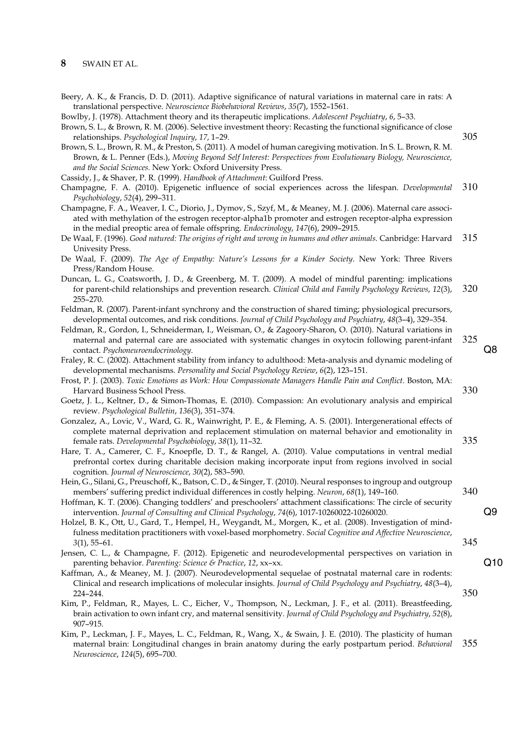#### **8** SWAIN ET AL.

Beery, A. K., & Francis, D. D. (2011). Adaptive significance of natural variations in maternal care in rats: A translational perspective. *Neuroscience Biobehavioral Reviews*, *35*(7), 1552–1561.

Bowlby, J. (1978). Attachment theory and its therapeutic implications. *Adolescent Psychiatry*, *6*, 5–33.

- Brown, S. L., & Brown, R. M. (2006). Selective investment theory: Recasting the functional significance of close relationships. *Psychological Inquiry*, *17*, 1–29. 305
- Brown, S. L., Brown, R. M., & Preston, S. (2011). A model of human caregiving motivation. In S. L. Brown, R. M. Brown, & L. Penner (Eds.), *Moving Beyond Self Interest: Perspectives from Evolutionary Biology, Neuroscience, and the Social Sciences*. New York: Oxford University Press.
- Cassidy, J., & Shaver, P. R. (1999). *Handbook of Attachment*: Guilford Press.
- Champagne, F. A. (2010). Epigenetic influence of social experiences across the lifespan. *Developmental* 310 *Psychobiology*, *52*(4), 299–311.
- Champagne, F. A., Weaver, I. C., Diorio, J., Dymov, S., Szyf, M., & Meaney, M. J. (2006). Maternal care associated with methylation of the estrogen receptor-alpha1b promoter and estrogen receptor-alpha expression in the medial preoptic area of female offspring. *Endocrinology*, *147*(6), 2909–2915.
- De Waal, F. (1996). *Good natured: The origins of right and wrong in humans and other animals*. Canbridge: Harvard 315 Univesity Press.
- De Waal, F. (2009). *The Age of Empathy: Nature's Lessons for a Kinder Society*. New York: Three Rivers Press*/*Random House.
- Duncan, L. G., Coatsworth, J. D., & Greenberg, M. T. (2009). A model of mindful parenting: implications for parent-child relationships and prevention research. *Clinical Child and Family Psychology Reviews*, *12*(3), 320 255–270.
- Feldman, R. (2007). Parent-infant synchrony and the construction of shared timing; physiological precursors, developmental outcomes, and risk conditions. *Journal of Child Psychology and Psychiatry*, *48*(3–4), 329–354.
- Feldman, R., Gordon, I., Schneiderman, I., Weisman, O., & Zagoory-Sharon, O. (2010). Natural variations in maternal and paternal care are associated with systematic changes in oxytocin following parent-infant 325 contact. *Psychoneuroendocrinology*. Q8
- Fraley, R. C. (2002). Attachment stability from infancy to adulthood: Meta-analysis and dynamic modeling of developmental mechanisms. *Personality and Social Psychology Review*, *6*(2), 123–151.
- Frost, P. J. (2003). *Toxic Emotions as Work: How Compassionate Managers Handle Pain and Conflict*. Boston, MA: Harvard Business School Press. 330
- Goetz, J. L., Keltner, D., & Simon-Thomas, E. (2010). Compassion: An evolutionary analysis and empirical review. *Psychological Bulletin*, *136*(3), 351–374.
- Gonzalez, A., Lovic, V., Ward, G. R., Wainwright, P. E., & Fleming, A. S. (2001). Intergenerational effects of complete maternal deprivation and replacement stimulation on maternal behavior and emotionality in female rats. *Developmental Psychobiology*, *38*(1), 11–32. 335
- Hare, T. A., Camerer, C. F., Knoepfle, D. T., & Rangel, A. (2010). Value computations in ventral medial prefrontal cortex during charitable decision making incorporate input from regions involved in social cognition. *Journal of Neuroscience*, *30*(2), 583–590.
- Hein, G., Silani, G., Preuschoff, K., Batson, C. D., & Singer, T. (2010). Neural responses to ingroup and outgroup members' suffering predict individual differences in costly helping. *Neuron*, *68*(1), 149–160. 340
- Hoffman, K. T. (2006). Changing toddlers' and preschoolers' attachment classifications: The circle of security intervention. *Journal of Consulting and Clinical Psychology*, *74*(6), 1017-10260022-10260020. Q9
- Holzel, B. K., Ott, U., Gard, T., Hempel, H., Weygandt, M., Morgen, K., et al. (2008). Investigation of mindfulness meditation practitioners with voxel-based morphometry. *Social Cognitive and Affective Neuroscience*, *3*(1), 55–61. 345
- Jensen, C. L., & Champagne, F. (2012). Epigenetic and neurodevelopmental perspectives on variation in parenting behavior. *Parenting: Science & Practice*, *12*, xx–xx. **Q10 Q10**
- Kaffman, A., & Meaney, M. J. (2007). Neurodevelopmental sequelae of postnatal maternal care in rodents: Clinical and research implications of molecular insights. *Journal of Child Psychology and Psychiatry*, *48*(3–4), 224–244. 350
- Kim, P., Feldman, R., Mayes, L. C., Eicher, V., Thompson, N., Leckman, J. F., et al. (2011). Breastfeeding, brain activation to own infant cry, and maternal sensitivity. *Journal of Child Psychology and Psychiatry*, *52*(8), 907–915.
- Kim, P., Leckman, J. F., Mayes, L. C., Feldman, R., Wang, X., & Swain, J. E. (2010). The plasticity of human maternal brain: Longitudinal changes in brain anatomy during the early postpartum period. *Behavioral* 355 *Neuroscience*, *124*(5), 695–700.